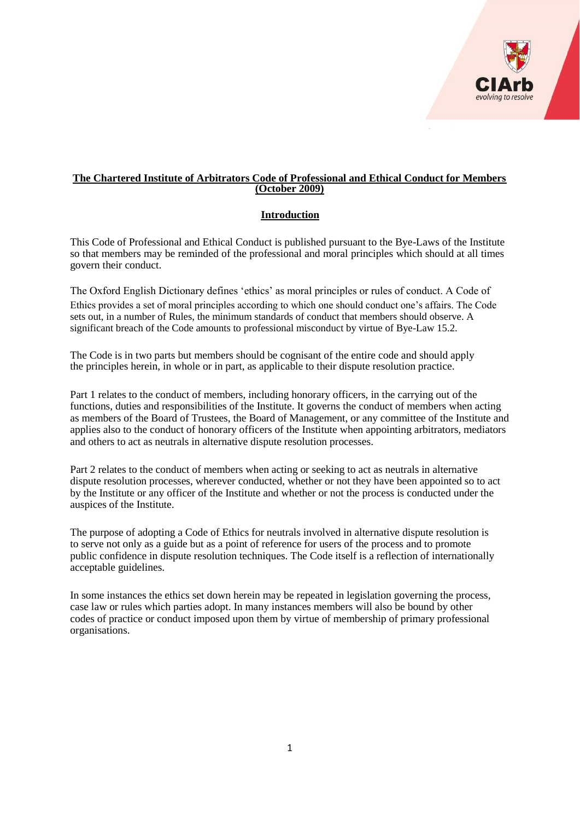

### **The Chartered Institute of Arbitrators Code of Professional and Ethical Conduct for Members (October 2009)**

# **Introduction**

This Code of Professional and Ethical Conduct is published pursuant to the Bye-Laws of the Institute so that members may be reminded of the professional and moral principles which should at all times govern their conduct.

The Oxford English Dictionary defines 'ethics' as moral principles or rules of conduct. A Code of Ethics provides a set of moral principles according to which one should conduct one's affairs. The Code sets out, in a number of Rules, the minimum standards of conduct that members should observe. A significant breach of the Code amounts to professional misconduct by virtue of Bye-Law 15.2.

The Code is in two parts but members should be cognisant of the entire code and should apply the principles herein, in whole or in part, as applicable to their dispute resolution practice.

Part 1 relates to the conduct of members, including honorary officers, in the carrying out of the functions, duties and responsibilities of the Institute. It governs the conduct of members when acting as members of the Board of Trustees, the Board of Management, or any committee of the Institute and applies also to the conduct of honorary officers of the Institute when appointing arbitrators, mediators and others to act as neutrals in alternative dispute resolution processes.

Part 2 relates to the conduct of members when acting or seeking to act as neutrals in alternative dispute resolution processes, wherever conducted, whether or not they have been appointed so to act by the Institute or any officer of the Institute and whether or not the process is conducted under the auspices of the Institute.

The purpose of adopting a Code of Ethics for neutrals involved in alternative dispute resolution is to serve not only as a guide but as a point of reference for users of the process and to promote public confidence in dispute resolution techniques. The Code itself is a reflection of internationally acceptable guidelines.

In some instances the ethics set down herein may be repeated in legislation governing the process, case law or rules which parties adopt. In many instances members will also be bound by other codes of practice or conduct imposed upon them by virtue of membership of primary professional organisations.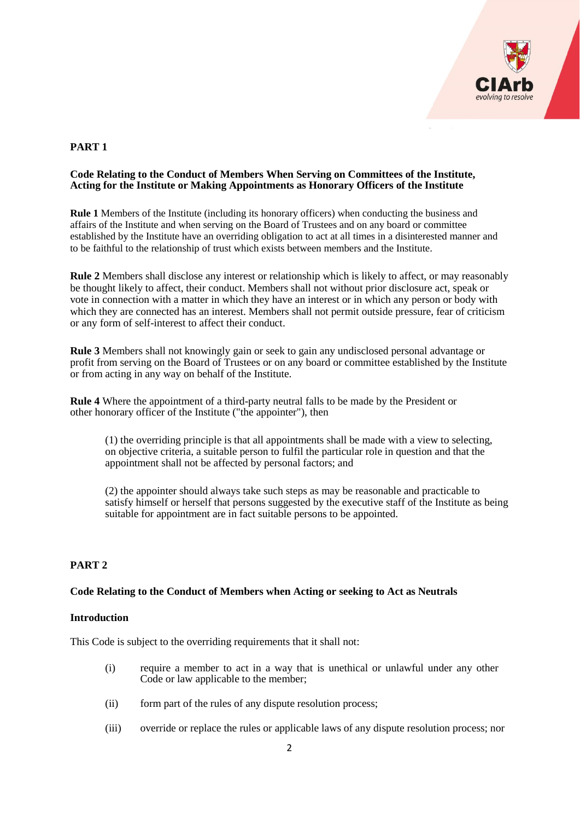

# **PART 1**

#### **Code Relating to the Conduct of Members When Serving on Committees of the Institute, Acting for the Institute or Making Appointments as Honorary Officers of the Institute**

**Rule 1** Members of the Institute (including its honorary officers) when conducting the business and affairs of the Institute and when serving on the Board of Trustees and on any board or committee established by the Institute have an overriding obligation to act at all times in a disinterested manner and to be faithful to the relationship of trust which exists between members and the Institute.

**Rule 2** Members shall disclose any interest or relationship which is likely to affect, or may reasonably be thought likely to affect, their conduct. Members shall not without prior disclosure act, speak or vote in connection with a matter in which they have an interest or in which any person or body with which they are connected has an interest. Members shall not permit outside pressure, fear of criticism or any form of self-interest to affect their conduct.

**Rule 3** Members shall not knowingly gain or seek to gain any undisclosed personal advantage or profit from serving on the Board of Trustees or on any board or committee established by the Institute or from acting in any way on behalf of the Institute.

**Rule 4** Where the appointment of a third-party neutral falls to be made by the President or other honorary officer of the Institute ("the appointer"), then

(1) the overriding principle is that all appointments shall be made with a view to selecting, on objective criteria, a suitable person to fulfil the particular role in question and that the appointment shall not be affected by personal factors; and

(2) the appointer should always take such steps as may be reasonable and practicable to satisfy himself or herself that persons suggested by the executive staff of the Institute as being suitable for appointment are in fact suitable persons to be appointed.

# **PART 2**

# **Code Relating to the Conduct of Members when Acting or seeking to Act as Neutrals**

#### **Introduction**

This Code is subject to the overriding requirements that it shall not:

- (i) require a member to act in a way that is unethical or unlawful under any other Code or law applicable to the member;
- (ii) form part of the rules of any dispute resolution process;
- (iii) override or replace the rules or applicable laws of any dispute resolution process; nor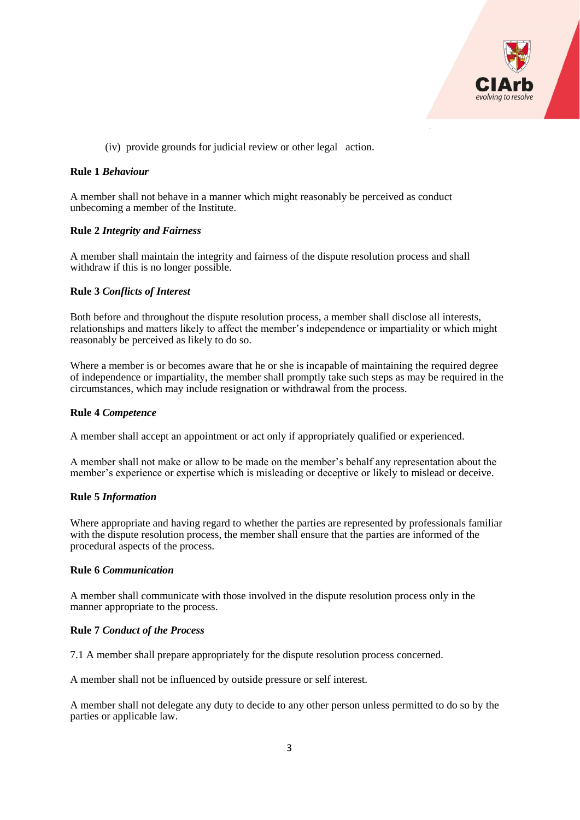

(iv) provide grounds for judicial review or other legal action.

#### **Rule 1** *Behaviour*

A member shall not behave in a manner which might reasonably be perceived as conduct unbecoming a member of the Institute.

#### **Rule 2** *Integrity and Fairness*

A member shall maintain the integrity and fairness of the dispute resolution process and shall withdraw if this is no longer possible.

### **Rule 3** *Conflicts of Interest*

Both before and throughout the dispute resolution process, a member shall disclose all interests, relationships and matters likely to affect the member's independence or impartiality or which might reasonably be perceived as likely to do so.

Where a member is or becomes aware that he or she is incapable of maintaining the required degree of independence or impartiality, the member shall promptly take such steps as may be required in the circumstances, which may include resignation or withdrawal from the process.

#### **Rule 4** *Competence*

A member shall accept an appointment or act only if appropriately qualified or experienced.

A member shall not make or allow to be made on the member's behalf any representation about the member's experience or expertise which is misleading or deceptive or likely to mislead or deceive.

#### **Rule 5** *Information*

Where appropriate and having regard to whether the parties are represented by professionals familiar with the dispute resolution process, the member shall ensure that the parties are informed of the procedural aspects of the process.

#### **Rule 6** *Communication*

A member shall communicate with those involved in the dispute resolution process only in the manner appropriate to the process.

#### **Rule 7** *Conduct of the Process*

7.1 A member shall prepare appropriately for the dispute resolution process concerned.

A member shall not be influenced by outside pressure or self interest.

A member shall not delegate any duty to decide to any other person unless permitted to do so by the parties or applicable law.